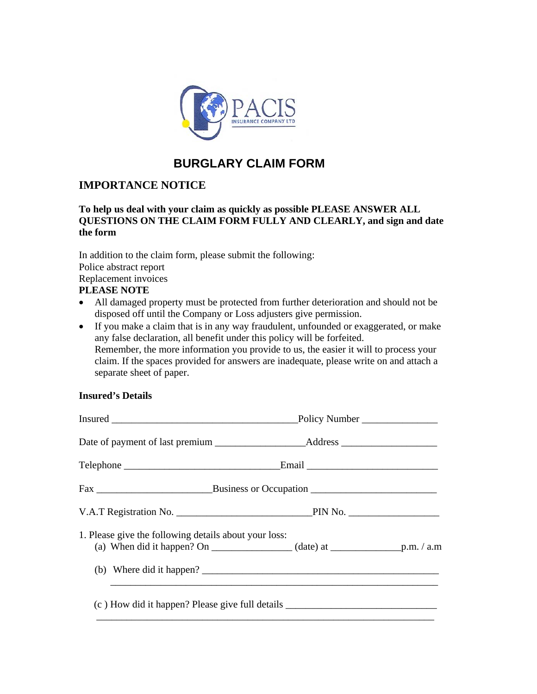

# **BURGLARY CLAIM FORM**

## **IMPORTANCE NOTICE**

### **To help us deal with your claim as quickly as possible PLEASE ANSWER ALL QUESTIONS ON THE CLAIM FORM FULLY AND CLEARLY, and sign and date the form**

In addition to the claim form, please submit the following: Police abstract report Replacement invoices **PLEASE NOTE** 

- All damaged property must be protected from further deterioration and should not be disposed off until the Company or Loss adjusters give permission.
- If you make a claim that is in any way fraudulent, unfounded or exaggerated, or make any false declaration, all benefit under this policy will be forfeited. Remember, the more information you provide to us, the easier it will to process your claim. If the spaces provided for answers are inadequate, please write on and attach a separate sheet of paper.

### **Insured's Details**

| Date of payment of last premium _______________________Address __________________ |  |  |  |
|-----------------------------------------------------------------------------------|--|--|--|
|                                                                                   |  |  |  |
|                                                                                   |  |  |  |
|                                                                                   |  |  |  |
| 1. Please give the following details about your loss:<br>(b) Where did it happen? |  |  |  |
| (c) How did it happen? Please give full details ________________________________  |  |  |  |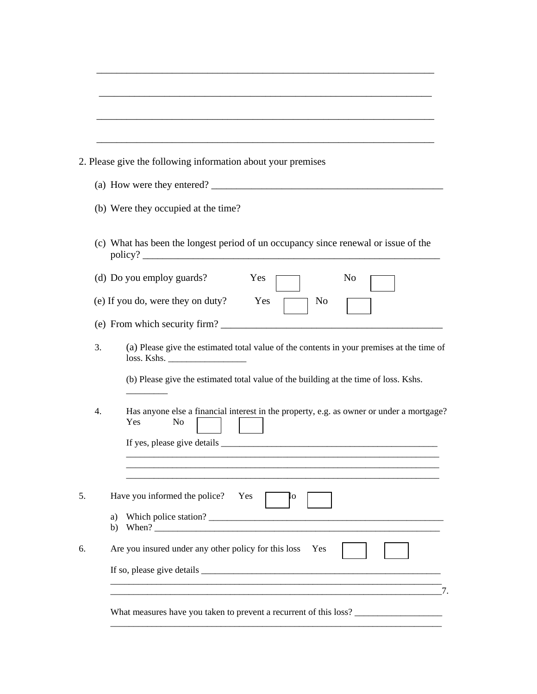|    |    | 2. Please give the following information about your premises                                                      |
|----|----|-------------------------------------------------------------------------------------------------------------------|
|    |    | (a) How were they entered?                                                                                        |
|    |    | (b) Were they occupied at the time?                                                                               |
|    |    | (c) What has been the longest period of un occupancy since renewal or issue of the                                |
|    |    | (d) Do you employ guards?<br>No<br>Yes                                                                            |
|    |    | (e) If you do, were they on duty?<br>Yes<br>No                                                                    |
|    |    |                                                                                                                   |
|    | 3. | (a) Please give the estimated total value of the contents in your premises at the time of<br>loss. Kshs.          |
|    |    | (b) Please give the estimated total value of the building at the time of loss. Kshs.                              |
|    | 4. | Has anyone else a financial interest in the property, e.g. as owner or under a mortgage?<br>Yes<br>N <sub>0</sub> |
|    |    |                                                                                                                   |
|    |    |                                                                                                                   |
| 5. |    | Have you informed the police?<br>Yes<br>IО                                                                        |
|    |    | a)<br>b) When? $\qquad \qquad$                                                                                    |
| 6. |    | Are you insured under any other policy for this loss<br>Yes                                                       |
|    |    |                                                                                                                   |

\_\_\_\_\_\_\_\_\_\_\_\_\_\_\_\_\_\_\_\_\_\_\_\_\_\_\_\_\_\_\_\_\_\_\_\_\_\_\_\_\_\_\_\_\_\_\_\_\_\_\_\_\_\_\_\_\_\_\_\_\_\_\_\_\_\_\_